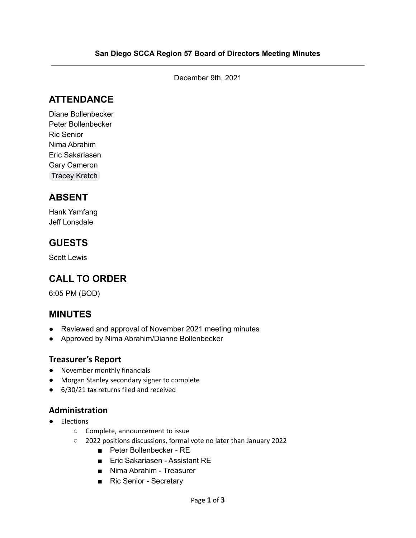December 9th, 2021

### **ATTENDANCE**

Diane Bollenbecker Peter Bollenbecker Ric Senior Nima Abrahim Eric Sakariasen Gary Cameron [Tracey](mailto:tckretch@yahoo.com) Kretch

# **ABSENT**

Hank Yamfang Jeff Lonsdale

### **GUESTS**

Scott Lewis

# **CALL TO ORDER**

6:05 PM (BOD)

### **MINUTES**

- Reviewed and approval of November 2021 meeting minutes
- Approved by Nima Abrahim/Dianne Bollenbecker

#### **Treasurer's Report**

- November monthly financials
- Morgan Stanley secondary signer to complete
- 6/30/21 tax returns filed and received

#### **Administration**

- Elections
	- Complete, announcement to issue
	- 2022 positions discussions, formal vote no later than January 2022
		- Peter Bollenbecker RE
		- Eric Sakariasen Assistant RE
		- Nima Abrahim Treasurer
		- Ric Senior Secretary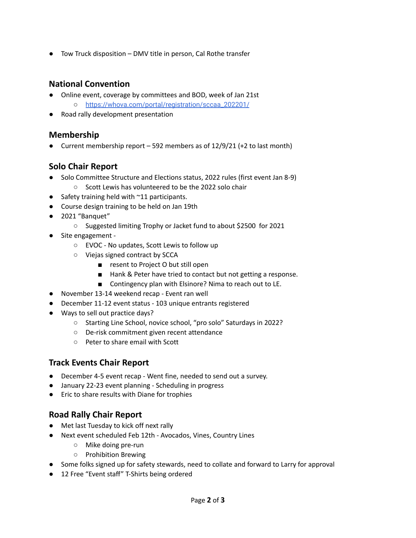● Tow Truck disposition – DMV title in person, Cal Rothe transfer

#### **National Convention**

- Online event, coverage by committees and BOD, week of Jan 21st ○ [https://whova.com/portal/registration/sccaa\\_202201/](https://whova.com/portal/registration/sccaa_202201/)
- Road rally development presentation

#### **Membership**

● Current membership report – 592 members as of 12/9/21 (+2 to last month)

#### **Solo Chair Report**

- Solo Committee Structure and Elections status, 2022 rules (first event Jan 8-9) ○ Scott Lewis has volunteered to be the 2022 solo chair
- Safety training held with  $\sim$ 11 participants.
- Course design training to be held on Jan 19th
- 2021 "Banquet"
	- Suggested limiting Trophy or Jacket fund to about \$2500 for 2021
- Site engagement -
	- EVOC No updates, Scott Lewis to follow up
	- Viejas signed contract by SCCA
		- resent to Project O but still open
		- Hank & Peter have tried to contact but not getting a response.
		- Contingency plan with Elsinore? Nima to reach out to LE.
- November 13-14 weekend recap Event ran well
- December 11-12 event status 103 unique entrants registered
- Ways to sell out practice days?
	- Starting Line School, novice school, "pro solo" Saturdays in 2022?
	- De-risk commitment given recent attendance
	- Peter to share email with Scott

#### **Track Events Chair Report**

- December 4-5 event recap Went fine, needed to send out a survey.
- January 22-23 event planning Scheduling in progress
- Eric to share results with Diane for trophies

#### **Road Rally Chair Report**

- Met last Tuesday to kick off next rally
- Next event scheduled Feb 12th Avocados, Vines, Country Lines
	- Mike doing pre-run
	- Prohibition Brewing
- Some folks signed up for safety stewards, need to collate and forward to Larry for approval
- 12 Free "Event staff" T-Shirts being ordered